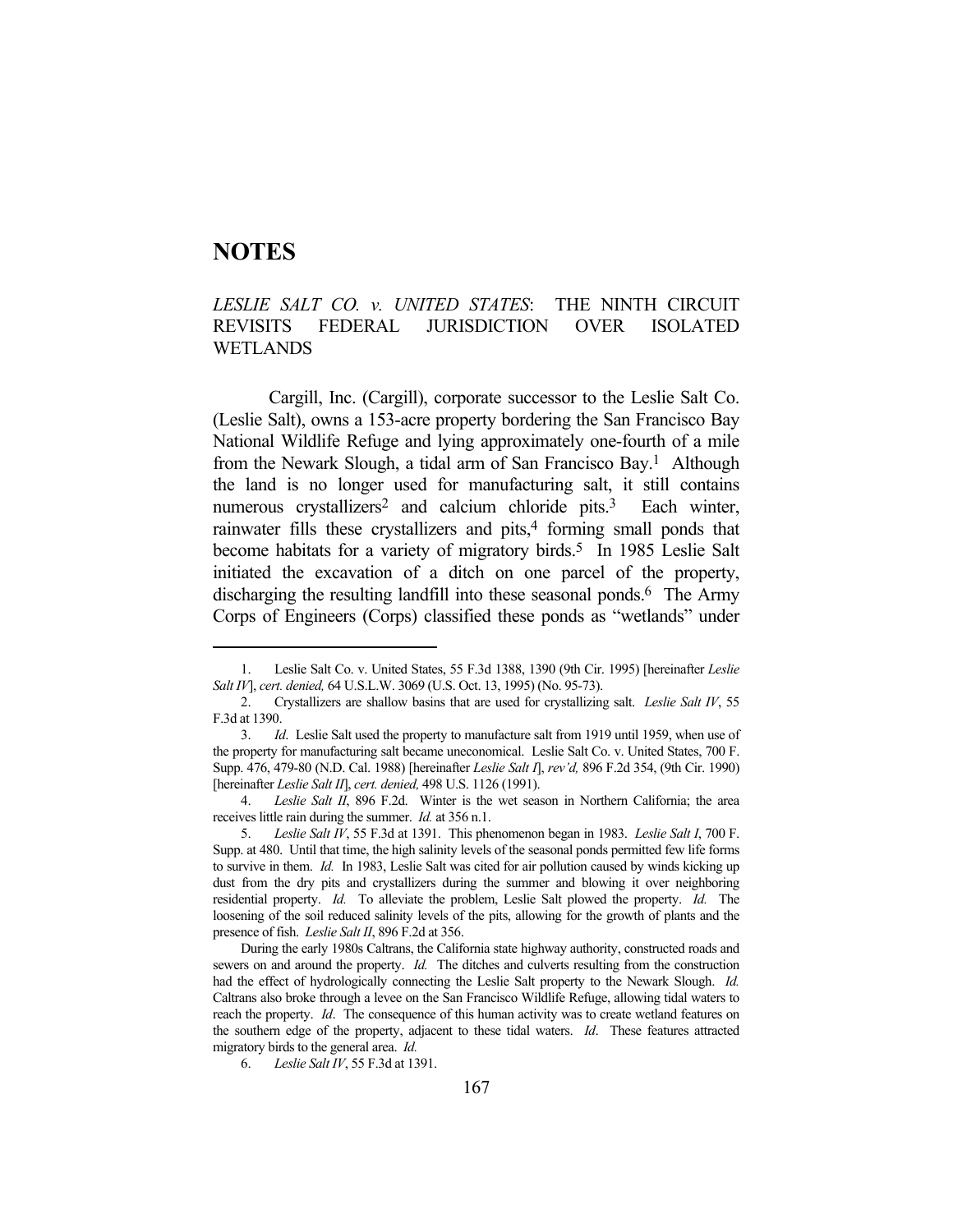## **NOTES**

## *LESLIE SALT CO. v. UNITED STATES*: THE NINTH CIRCUIT REVISITS FEDERAL JURISDICTION OVER ISOLATED WETLANDS

 Cargill, Inc. (Cargill), corporate successor to the Leslie Salt Co. (Leslie Salt), owns a 153-acre property bordering the San Francisco Bay National Wildlife Refuge and lying approximately one-fourth of a mile from the Newark Slough, a tidal arm of San Francisco Bay.1 Although the land is no longer used for manufacturing salt, it still contains numerous crystallizers<sup>2</sup> and calcium chloride pits.<sup>3</sup> Each winter, rainwater fills these crystallizers and pits,<sup>4</sup> forming small ponds that become habitats for a variety of migratory birds.<sup>5</sup> In 1985 Leslie Salt initiated the excavation of a ditch on one parcel of the property, discharging the resulting landfill into these seasonal ponds.<sup>6</sup> The Army Corps of Engineers (Corps) classified these ponds as "wetlands" under

 <sup>1.</sup> Leslie Salt Co. v. United States, 55 F.3d 1388, 1390 (9th Cir. 1995) [hereinafter *Leslie Salt IV*], *cert. denied,* 64 U.S.L.W. 3069 (U.S. Oct. 13, 1995) (No. 95-73).

 <sup>2.</sup> Crystallizers are shallow basins that are used for crystallizing salt. *Leslie Salt IV*, 55 F.3d at 1390.

 <sup>3.</sup> *Id*. Leslie Salt used the property to manufacture salt from 1919 until 1959, when use of the property for manufacturing salt became uneconomical. Leslie Salt Co. v. United States, 700 F. Supp. 476, 479-80 (N.D. Cal. 1988) [hereinafter *Leslie Salt I*], *rev'd,* 896 F.2d 354, (9th Cir. 1990) [hereinafter *Leslie Salt II*], *cert. denied,* 498 U.S. 1126 (1991).

 <sup>4.</sup> *Leslie Salt II*, 896 F.2d. Winter is the wet season in Northern California; the area receives little rain during the summer. *Id.* at 356 n.1.

 <sup>5.</sup> *Leslie Salt IV*, 55 F.3d at 1391. This phenomenon began in 1983. *Leslie Salt I*, 700 F. Supp. at 480. Until that time, the high salinity levels of the seasonal ponds permitted few life forms to survive in them. *Id.* In 1983, Leslie Salt was cited for air pollution caused by winds kicking up dust from the dry pits and crystallizers during the summer and blowing it over neighboring residential property. *Id.* To alleviate the problem, Leslie Salt plowed the property. *Id.* The loosening of the soil reduced salinity levels of the pits, allowing for the growth of plants and the presence of fish. *Leslie Salt II*, 896 F.2d at 356.

During the early 1980s Caltrans, the California state highway authority, constructed roads and sewers on and around the property. *Id.* The ditches and culverts resulting from the construction had the effect of hydrologically connecting the Leslie Salt property to the Newark Slough. *Id.*  Caltrans also broke through a levee on the San Francisco Wildlife Refuge, allowing tidal waters to reach the property. *Id*. The consequence of this human activity was to create wetland features on the southern edge of the property, adjacent to these tidal waters. *Id*. These features attracted migratory birds to the general area. *Id.*

 <sup>6.</sup> *Leslie Salt IV*, 55 F.3d at 1391.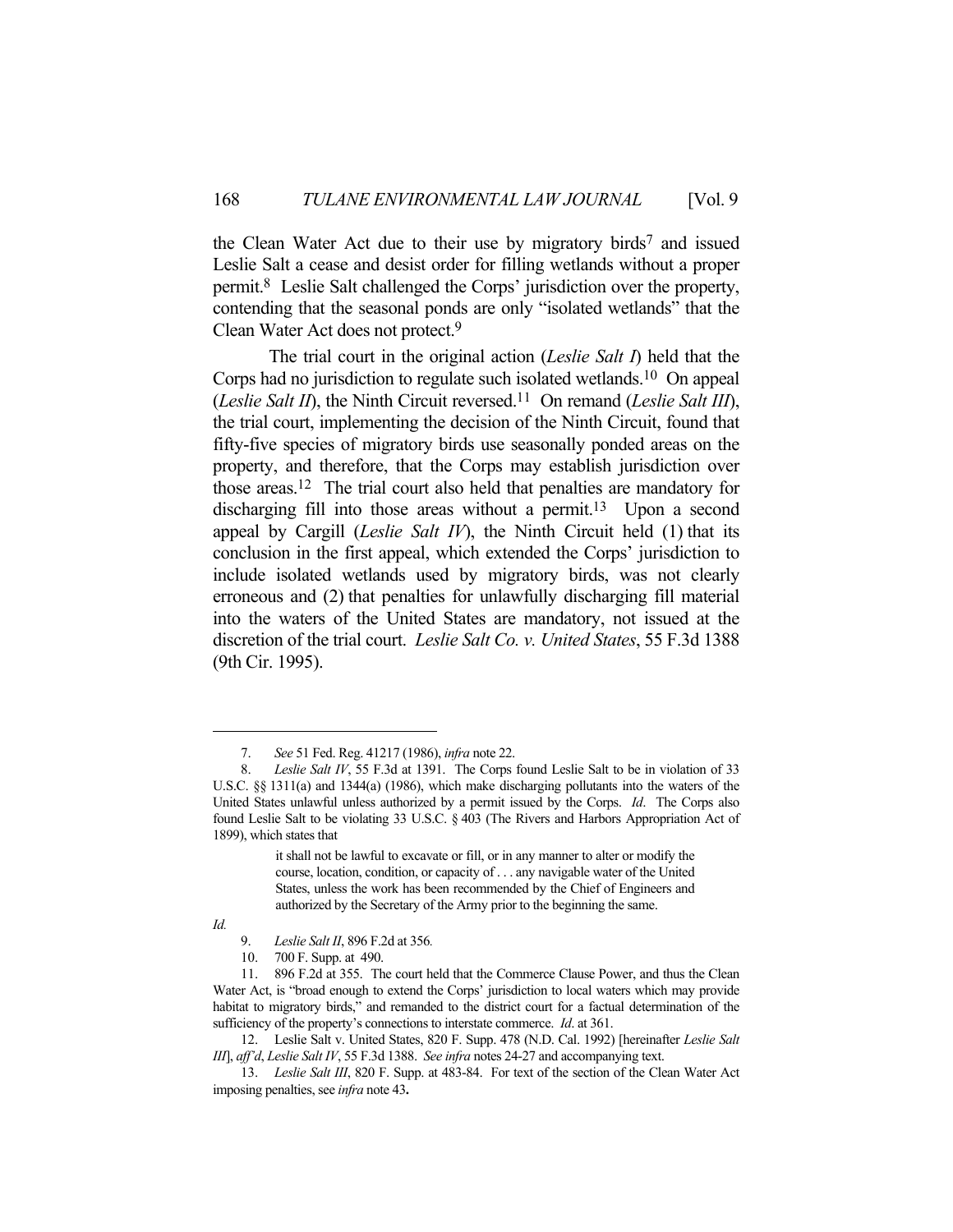the Clean Water Act due to their use by migratory birds7 and issued Leslie Salt a cease and desist order for filling wetlands without a proper permit.8 Leslie Salt challenged the Corps' jurisdiction over the property, contending that the seasonal ponds are only "isolated wetlands" that the Clean Water Act does not protect.9

 The trial court in the original action (*Leslie Salt I*) held that the Corps had no jurisdiction to regulate such isolated wetlands.10 On appeal (*Leslie Salt II*), the Ninth Circuit reversed.11 On remand (*Leslie Salt III*), the trial court, implementing the decision of the Ninth Circuit, found that fifty-five species of migratory birds use seasonally ponded areas on the property, and therefore, that the Corps may establish jurisdiction over those areas.12 The trial court also held that penalties are mandatory for discharging fill into those areas without a permit.<sup>13</sup> Upon a second appeal by Cargill (*Leslie Salt IV*), the Ninth Circuit held (1) that its conclusion in the first appeal, which extended the Corps' jurisdiction to include isolated wetlands used by migratory birds, was not clearly erroneous and (2) that penalties for unlawfully discharging fill material into the waters of the United States are mandatory, not issued at the discretion of the trial court. *Leslie Salt Co. v. United States*, 55 F.3d 1388 (9th Cir. 1995).

*Id.*

 <sup>7.</sup> *See* 51 Fed. Reg. 41217 (1986), *infra* note 22.

Leslie Salt IV, 55 F.3d at 1391. The Corps found Leslie Salt to be in violation of 33 U.S.C. §§ 1311(a) and 1344(a) (1986), which make discharging pollutants into the waters of the United States unlawful unless authorized by a permit issued by the Corps. *Id*. The Corps also found Leslie Salt to be violating 33 U.S.C. § 403 (The Rivers and Harbors Appropriation Act of 1899), which states that

it shall not be lawful to excavate or fill, or in any manner to alter or modify the course, location, condition, or capacity of . . . any navigable water of the United States, unless the work has been recommended by the Chief of Engineers and authorized by the Secretary of the Army prior to the beginning the same.

 <sup>9.</sup> *Leslie Salt II*, 896 F.2d at 356*.*

 <sup>10. 700</sup> F. Supp. at 490.

 <sup>11. 896</sup> F.2d at 355. The court held that the Commerce Clause Power, and thus the Clean Water Act, is "broad enough to extend the Corps' jurisdiction to local waters which may provide habitat to migratory birds," and remanded to the district court for a factual determination of the sufficiency of the property's connections to interstate commerce. *Id*. at 361.

 <sup>12.</sup> Leslie Salt v. United States, 820 F. Supp. 478 (N.D. Cal. 1992) [hereinafter *Leslie Salt III*], *aff'd*, *Leslie Salt IV*, 55 F.3d 1388. *See infra* notes 24-27 and accompanying text.

 <sup>13.</sup> *Leslie Salt III*, 820 F. Supp. at 483-84. For text of the section of the Clean Water Act imposing penalties, see *infra* note 43**.**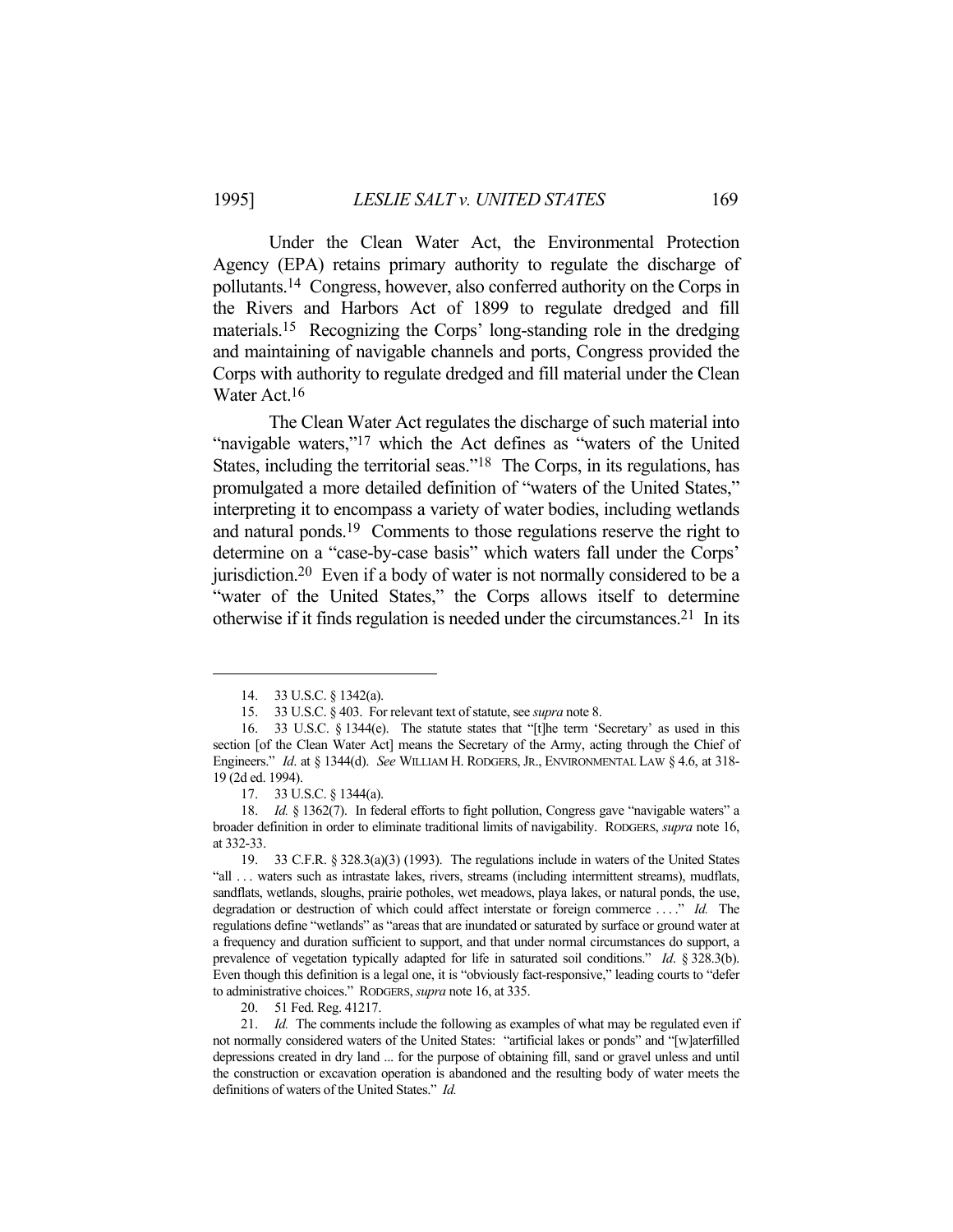Under the Clean Water Act, the Environmental Protection Agency (EPA) retains primary authority to regulate the discharge of pollutants.14 Congress, however, also conferred authority on the Corps in the Rivers and Harbors Act of 1899 to regulate dredged and fill materials.15 Recognizing the Corps' long-standing role in the dredging and maintaining of navigable channels and ports, Congress provided the Corps with authority to regulate dredged and fill material under the Clean Water Act.16

 The Clean Water Act regulates the discharge of such material into "navigable waters,"<sup>17</sup> which the Act defines as "waters of the United States, including the territorial seas."18 The Corps, in its regulations, has promulgated a more detailed definition of "waters of the United States," interpreting it to encompass a variety of water bodies, including wetlands and natural ponds.19 Comments to those regulations reserve the right to determine on a "case-by-case basis" which waters fall under the Corps' jurisdiction.20 Even if a body of water is not normally considered to be a "water of the United States," the Corps allows itself to determine otherwise if it finds regulation is needed under the circumstances.21 In its

20. 51 Fed. Reg. 41217.

 <sup>14. 33</sup> U.S.C. § 1342(a).

 <sup>15. 33</sup> U.S.C. § 403. For relevant text of statute, see *supra* note 8.

 <sup>16. 33</sup> U.S.C. § 1344(e). The statute states that "[t]he term 'Secretary' as used in this section [of the Clean Water Act] means the Secretary of the Army, acting through the Chief of Engineers." *Id*. at § 1344(d). *See* WILLIAM H. RODGERS, JR., ENVIRONMENTAL LAW § 4.6, at 318- 19 (2d ed. 1994).

 <sup>17. 33</sup> U.S.C. § 1344(a).

 <sup>18.</sup> *Id.* § 1362(7). In federal efforts to fight pollution, Congress gave "navigable waters" a broader definition in order to eliminate traditional limits of navigability. RODGERS, *supra* note 16, at 332-33.

 <sup>19. 33</sup> C.F.R. § 328.3(a)(3) (1993). The regulations include in waters of the United States "all . . . waters such as intrastate lakes, rivers, streams (including intermittent streams), mudflats, sandflats, wetlands, sloughs, prairie potholes, wet meadows, playa lakes, or natural ponds, the use, degradation or destruction of which could affect interstate or foreign commerce . . . ." *Id.* The regulations define "wetlands" as "areas that are inundated or saturated by surface or ground water at a frequency and duration sufficient to support, and that under normal circumstances do support, a prevalence of vegetation typically adapted for life in saturated soil conditions." *Id*. § 328.3(b). Even though this definition is a legal one, it is "obviously fact-responsive," leading courts to "defer to administrative choices." RODGERS, *supra* note 16, at 335.

 <sup>21.</sup> *Id.* The comments include the following as examples of what may be regulated even if not normally considered waters of the United States: "artificial lakes or ponds" and "[w]aterfilled depressions created in dry land ... for the purpose of obtaining fill, sand or gravel unless and until the construction or excavation operation is abandoned and the resulting body of water meets the definitions of waters of the United States." *Id.*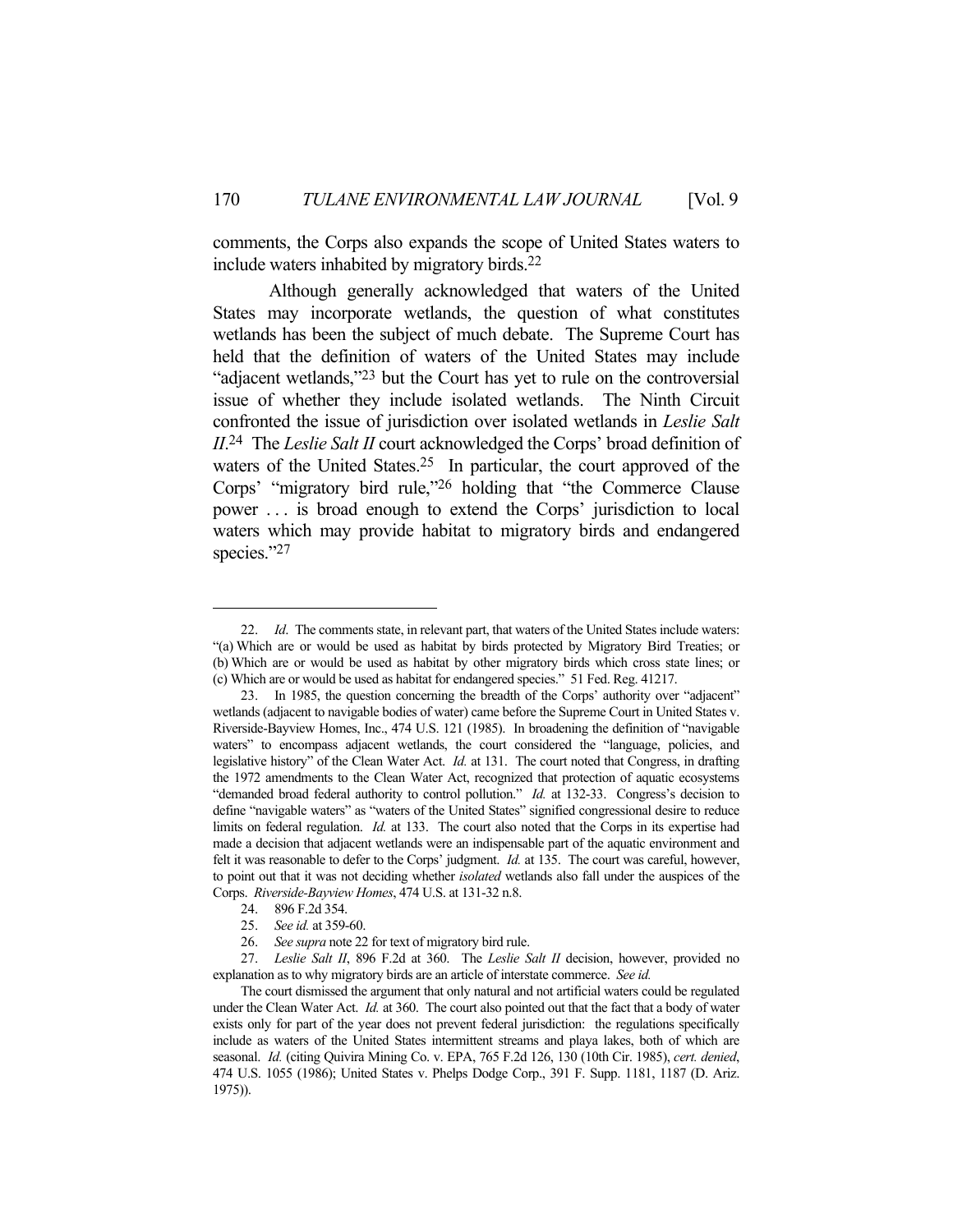comments, the Corps also expands the scope of United States waters to include waters inhabited by migratory birds.22

 Although generally acknowledged that waters of the United States may incorporate wetlands, the question of what constitutes wetlands has been the subject of much debate. The Supreme Court has held that the definition of waters of the United States may include "adjacent wetlands,"23 but the Court has yet to rule on the controversial issue of whether they include isolated wetlands. The Ninth Circuit confronted the issue of jurisdiction over isolated wetlands in *Leslie Salt II*. 24 The *Leslie Salt II* court acknowledged the Corps' broad definition of waters of the United States.<sup>25</sup> In particular, the court approved of the Corps' "migratory bird rule,"26 holding that "the Commerce Clause power . . . is broad enough to extend the Corps' jurisdiction to local waters which may provide habitat to migratory birds and endangered species."27

 <sup>22.</sup> *Id*. The comments state, in relevant part, that waters of the United States include waters: "(a) Which are or would be used as habitat by birds protected by Migratory Bird Treaties; or (b) Which are or would be used as habitat by other migratory birds which cross state lines; or (c) Which are or would be used as habitat for endangered species." 51 Fed. Reg. 41217.

 <sup>23.</sup> In 1985, the question concerning the breadth of the Corps' authority over "adjacent" wetlands (adjacent to navigable bodies of water) came before the Supreme Court in United States v. Riverside-Bayview Homes, Inc., 474 U.S. 121 (1985). In broadening the definition of "navigable waters" to encompass adjacent wetlands, the court considered the "language, policies, and legislative history" of the Clean Water Act. *Id.* at 131. The court noted that Congress, in drafting the 1972 amendments to the Clean Water Act, recognized that protection of aquatic ecosystems "demanded broad federal authority to control pollution." *Id.* at 132-33. Congress's decision to define "navigable waters" as "waters of the United States" signified congressional desire to reduce limits on federal regulation. *Id.* at 133. The court also noted that the Corps in its expertise had made a decision that adjacent wetlands were an indispensable part of the aquatic environment and felt it was reasonable to defer to the Corps' judgment. *Id.* at 135. The court was careful, however, to point out that it was not deciding whether *isolated* wetlands also fall under the auspices of the Corps. *Riverside-Bayview Homes*, 474 U.S. at 131-32 n.8.

 <sup>24. 896</sup> F.2d 354.

 <sup>25.</sup> *See id.* at 359-60.

 <sup>26.</sup> *See supra* note 22 for text of migratory bird rule.

 <sup>27.</sup> *Leslie Salt II*, 896 F.2d at 360. The *Leslie Salt II* decision, however, provided no explanation as to why migratory birds are an article of interstate commerce. *See id.*

The court dismissed the argument that only natural and not artificial waters could be regulated under the Clean Water Act. *Id.* at 360. The court also pointed out that the fact that a body of water exists only for part of the year does not prevent federal jurisdiction: the regulations specifically include as waters of the United States intermittent streams and playa lakes, both of which are seasonal. *Id.* (citing Quivira Mining Co. v. EPA, 765 F.2d 126, 130 (10th Cir. 1985), *cert. denied*, 474 U.S. 1055 (1986); United States v. Phelps Dodge Corp., 391 F. Supp. 1181, 1187 (D. Ariz. 1975)).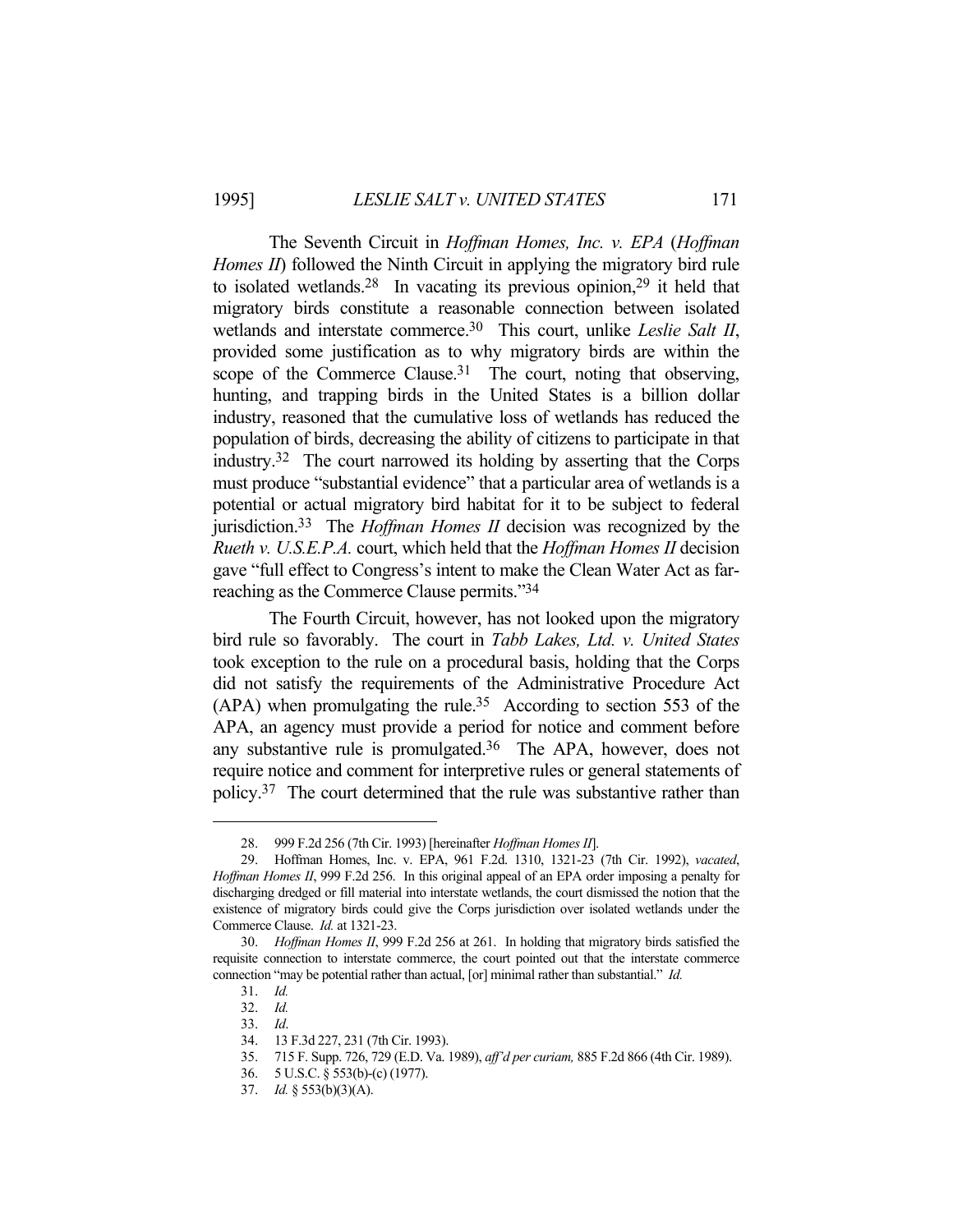The Seventh Circuit in *Hoffman Homes, Inc. v. EPA* (*Hoffman Homes II*) followed the Ninth Circuit in applying the migratory bird rule to isolated wetlands.<sup>28</sup> In vacating its previous opinion,<sup>29</sup> it held that migratory birds constitute a reasonable connection between isolated wetlands and interstate commerce.30 This court, unlike *Leslie Salt II*, provided some justification as to why migratory birds are within the scope of the Commerce Clause.<sup>31</sup> The court, noting that observing, hunting, and trapping birds in the United States is a billion dollar industry, reasoned that the cumulative loss of wetlands has reduced the population of birds, decreasing the ability of citizens to participate in that industry.32 The court narrowed its holding by asserting that the Corps must produce "substantial evidence" that a particular area of wetlands is a potential or actual migratory bird habitat for it to be subject to federal jurisdiction.33 The *Hoffman Homes II* decision was recognized by the *Rueth v. U.S.E.P.A.* court, which held that the *Hoffman Homes II* decision gave "full effect to Congress's intent to make the Clean Water Act as farreaching as the Commerce Clause permits."34

 The Fourth Circuit, however, has not looked upon the migratory bird rule so favorably. The court in *Tabb Lakes, Ltd. v. United States*  took exception to the rule on a procedural basis, holding that the Corps did not satisfy the requirements of the Administrative Procedure Act (APA) when promulgating the rule.35 According to section 553 of the APA, an agency must provide a period for notice and comment before any substantive rule is promulgated.<sup>36</sup> The APA, however, does not require notice and comment for interpretive rules or general statements of policy.37 The court determined that the rule was substantive rather than

 <sup>28. 999</sup> F.2d 256 (7th Cir. 1993) [hereinafter *Hoffman Homes II*].

 <sup>29.</sup> Hoffman Homes, Inc. v. EPA, 961 F.2d. 1310, 1321-23 (7th Cir. 1992), *vacated*, *Hoffman Homes II*, 999 F.2d 256. In this original appeal of an EPA order imposing a penalty for discharging dredged or fill material into interstate wetlands, the court dismissed the notion that the existence of migratory birds could give the Corps jurisdiction over isolated wetlands under the Commerce Clause. *Id.* at 1321-23.

 <sup>30.</sup> *Hoffman Homes II*, 999 F.2d 256 at 261. In holding that migratory birds satisfied the requisite connection to interstate commerce, the court pointed out that the interstate commerce connection "may be potential rather than actual, [or] minimal rather than substantial." *Id.*

 <sup>31.</sup> *Id.*

 <sup>32.</sup> *Id.*

 <sup>33.</sup> *Id*.

 <sup>34. 13</sup> F.3d 227, 231 (7th Cir. 1993).

 <sup>35. 715</sup> F. Supp. 726, 729 (E.D. Va. 1989), *aff'd per curiam,* 885 F.2d 866 (4th Cir. 1989).

 <sup>36. 5</sup> U.S.C. § 553(b)-(c) (1977).

 <sup>37.</sup> *Id.* § 553(b)(3)(A).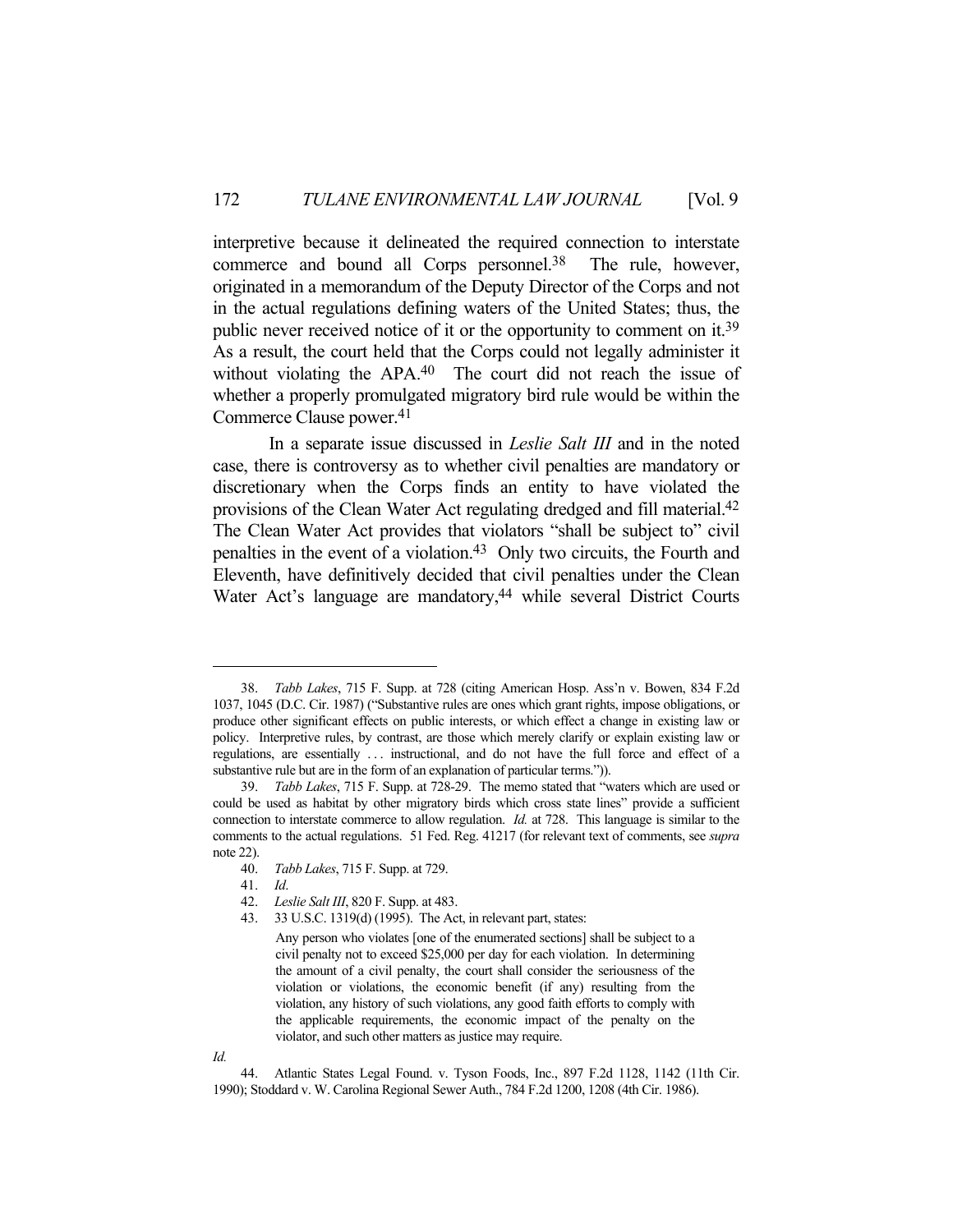interpretive because it delineated the required connection to interstate commerce and bound all Corps personnel.<sup>38</sup> The rule, however, originated in a memorandum of the Deputy Director of the Corps and not in the actual regulations defining waters of the United States; thus, the public never received notice of it or the opportunity to comment on it.39 As a result, the court held that the Corps could not legally administer it without violating the APA.<sup>40</sup> The court did not reach the issue of whether a properly promulgated migratory bird rule would be within the Commerce Clause power.41

 In a separate issue discussed in *Leslie Salt III* and in the noted case, there is controversy as to whether civil penalties are mandatory or discretionary when the Corps finds an entity to have violated the provisions of the Clean Water Act regulating dredged and fill material.42 The Clean Water Act provides that violators "shall be subject to" civil penalties in the event of a violation.43 Only two circuits, the Fourth and Eleventh, have definitively decided that civil penalties under the Clean Water Act's language are mandatory,<sup>44</sup> while several District Courts

*Id.*

 44. Atlantic States Legal Found. v. Tyson Foods, Inc., 897 F.2d 1128, 1142 (11th Cir. 1990); Stoddard v. W. Carolina Regional Sewer Auth., 784 F.2d 1200, 1208 (4th Cir. 1986).

 <sup>38.</sup> *Tabb Lakes*, 715 F. Supp. at 728 (citing American Hosp. Ass'n v. Bowen, 834 F.2d 1037, 1045 (D.C. Cir. 1987) ("Substantive rules are ones which grant rights, impose obligations, or produce other significant effects on public interests, or which effect a change in existing law or policy. Interpretive rules, by contrast, are those which merely clarify or explain existing law or regulations, are essentially ... instructional, and do not have the full force and effect of a substantive rule but are in the form of an explanation of particular terms.")).

 <sup>39.</sup> *Tabb Lakes*, 715 F. Supp. at 728-29. The memo stated that "waters which are used or could be used as habitat by other migratory birds which cross state lines" provide a sufficient connection to interstate commerce to allow regulation. *Id.* at 728. This language is similar to the comments to the actual regulations. 51 Fed. Reg. 41217 (for relevant text of comments, see *supra* note 22).

 <sup>40.</sup> *Tabb Lakes*, 715 F. Supp. at 729.

 <sup>41.</sup> *Id*.

 <sup>42.</sup> *Leslie Salt III*, 820 F. Supp. at 483.

 <sup>43. 33</sup> U.S.C. 1319(d) (1995). The Act, in relevant part, states:

Any person who violates [one of the enumerated sections] shall be subject to a civil penalty not to exceed \$25,000 per day for each violation. In determining the amount of a civil penalty, the court shall consider the seriousness of the violation or violations, the economic benefit (if any) resulting from the violation, any history of such violations, any good faith efforts to comply with the applicable requirements, the economic impact of the penalty on the violator, and such other matters as justice may require.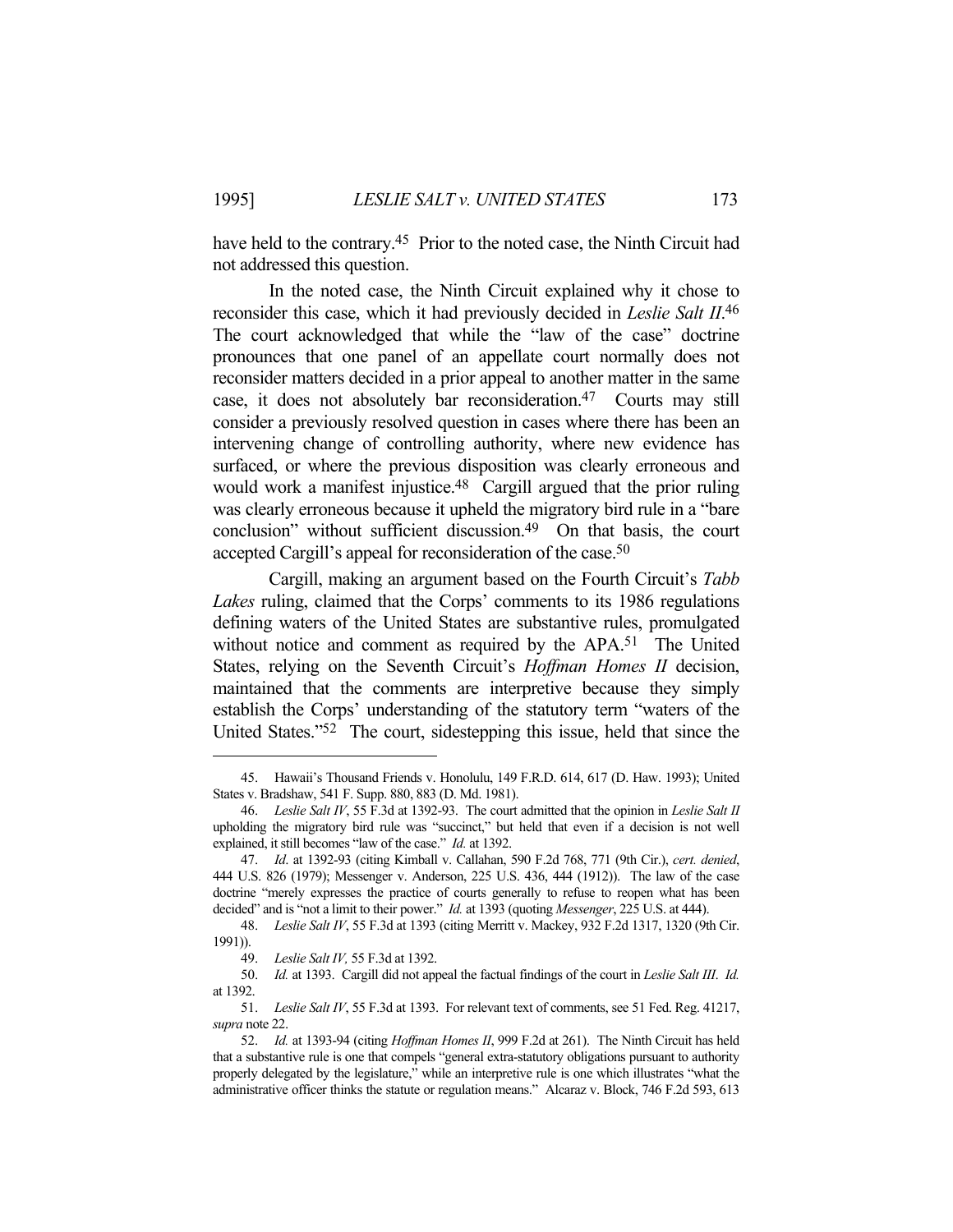have held to the contrary.<sup>45</sup> Prior to the noted case, the Ninth Circuit had not addressed this question.

 In the noted case, the Ninth Circuit explained why it chose to reconsider this case, which it had previously decided in *Leslie Salt II*. 46 The court acknowledged that while the "law of the case" doctrine pronounces that one panel of an appellate court normally does not reconsider matters decided in a prior appeal to another matter in the same case, it does not absolutely bar reconsideration.47 Courts may still consider a previously resolved question in cases where there has been an intervening change of controlling authority, where new evidence has surfaced, or where the previous disposition was clearly erroneous and would work a manifest injustice.<sup>48</sup> Cargill argued that the prior ruling was clearly erroneous because it upheld the migratory bird rule in a "bare conclusion" without sufficient discussion.<sup>49</sup> On that basis, the court accepted Cargill's appeal for reconsideration of the case.<sup>50</sup>

 Cargill, making an argument based on the Fourth Circuit's *Tabb Lakes* ruling, claimed that the Corps' comments to its 1986 regulations defining waters of the United States are substantive rules, promulgated without notice and comment as required by the APA.51 The United States, relying on the Seventh Circuit's *Hoffman Homes II* decision, maintained that the comments are interpretive because they simply establish the Corps' understanding of the statutory term "waters of the United States."52 The court, sidestepping this issue, held that since the

 <sup>45.</sup> Hawaii's Thousand Friends v. Honolulu, 149 F.R.D. 614, 617 (D. Haw. 1993); United States v. Bradshaw, 541 F. Supp. 880, 883 (D. Md. 1981).

 <sup>46.</sup> *Leslie Salt IV*, 55 F.3d at 1392-93. The court admitted that the opinion in *Leslie Salt II* upholding the migratory bird rule was "succinct," but held that even if a decision is not well explained, it still becomes "law of the case." *Id.* at 1392.

 <sup>47.</sup> *Id*. at 1392-93 (citing Kimball v. Callahan, 590 F.2d 768, 771 (9th Cir.), *cert. denied*, 444 U.S. 826 (1979); Messenger v. Anderson, 225 U.S. 436, 444 (1912)). The law of the case doctrine "merely expresses the practice of courts generally to refuse to reopen what has been decided" and is "not a limit to their power." *Id.* at 1393 (quoting *Messenger*, 225 U.S. at 444).

 <sup>48.</sup> *Leslie Salt IV*, 55 F.3d at 1393 (citing Merritt v. Mackey, 932 F.2d 1317, 1320 (9th Cir. 1991)).

 <sup>49.</sup> *Leslie Salt IV,* 55 F.3d at 1392.

 <sup>50.</sup> *Id.* at 1393. Cargill did not appeal the factual findings of the court in *Leslie Salt III*. *Id.* at 1392.

 <sup>51.</sup> *Leslie Salt IV*, 55 F.3d at 1393. For relevant text of comments, see 51 Fed. Reg. 41217, *supra* note 22.

 <sup>52.</sup> *Id.* at 1393-94 (citing *Hoffman Homes II*, 999 F.2d at 261). The Ninth Circuit has held that a substantive rule is one that compels "general extra-statutory obligations pursuant to authority properly delegated by the legislature," while an interpretive rule is one which illustrates "what the administrative officer thinks the statute or regulation means." Alcaraz v. Block, 746 F.2d 593, 613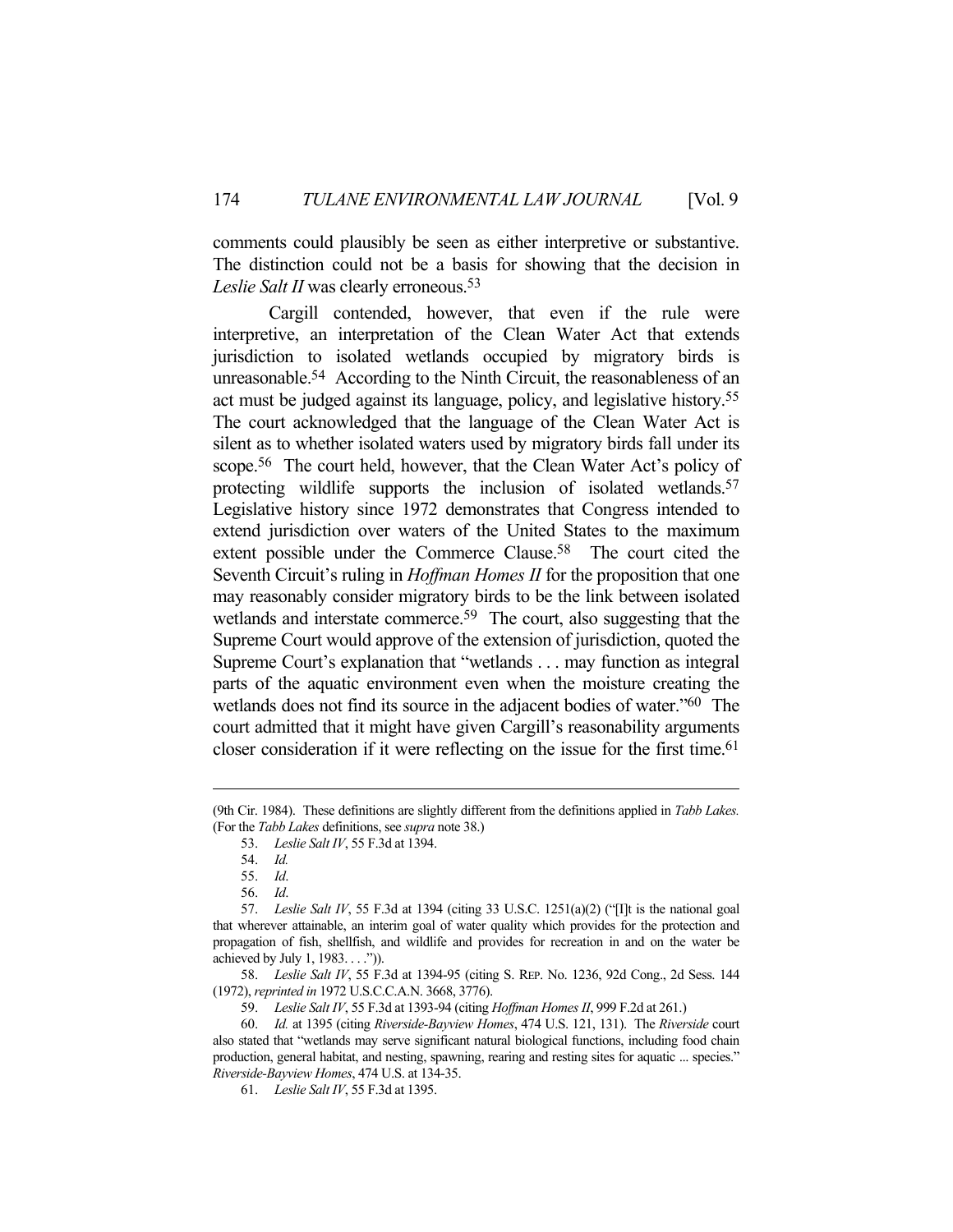comments could plausibly be seen as either interpretive or substantive. The distinction could not be a basis for showing that the decision in *Leslie Salt II* was clearly erroneous.<sup>53</sup>

 Cargill contended, however, that even if the rule were interpretive, an interpretation of the Clean Water Act that extends jurisdiction to isolated wetlands occupied by migratory birds is unreasonable.54 According to the Ninth Circuit, the reasonableness of an act must be judged against its language, policy, and legislative history.55 The court acknowledged that the language of the Clean Water Act is silent as to whether isolated waters used by migratory birds fall under its scope.56 The court held, however, that the Clean Water Act's policy of protecting wildlife supports the inclusion of isolated wetlands. 57 Legislative history since 1972 demonstrates that Congress intended to extend jurisdiction over waters of the United States to the maximum extent possible under the Commerce Clause.<sup>58</sup> The court cited the Seventh Circuit's ruling in *Hoffman Homes II* for the proposition that one may reasonably consider migratory birds to be the link between isolated wetlands and interstate commerce.<sup>59</sup> The court, also suggesting that the Supreme Court would approve of the extension of jurisdiction, quoted the Supreme Court's explanation that "wetlands . . . may function as integral parts of the aquatic environment even when the moisture creating the wetlands does not find its source in the adjacent bodies of water."60 The court admitted that it might have given Cargill's reasonability arguments closer consideration if it were reflecting on the issue for the first time.<sup>61</sup>

 58. *Leslie Salt IV*, 55 F.3d at 1394-95 (citing S. REP. No. 1236, 92d Cong., 2d Sess. 144 (1972), *reprinted in* 1972 U.S.C.C.A.N. 3668, 3776).

<sup>(9</sup>th Cir. 1984). These definitions are slightly different from the definitions applied in *Tabb Lakes.* (For the *Tabb Lakes* definitions, see *supra* note 38.)

 <sup>53.</sup> *Leslie Salt IV*, 55 F.3d at 1394.

 <sup>54.</sup> *Id.*

 <sup>55.</sup> *Id*.

 <sup>56.</sup> *Id*.

 <sup>57.</sup> *Leslie Salt IV*, 55 F.3d at 1394 (citing 33 U.S.C. 1251(a)(2) ("[I]t is the national goal that wherever attainable, an interim goal of water quality which provides for the protection and propagation of fish, shellfish, and wildlife and provides for recreation in and on the water be achieved by July 1, 1983. . . .")).

 <sup>59.</sup> *Leslie Salt IV*, 55 F.3d at 1393-94 (citing *Hoffman Homes II*, 999 F.2d at 261.)

 <sup>60.</sup> *Id.* at 1395 (citing *Riverside-Bayview Homes*, 474 U.S. 121, 131). The *Riverside* court also stated that "wetlands may serve significant natural biological functions, including food chain production, general habitat, and nesting, spawning, rearing and resting sites for aquatic ... species." *Riverside-Bayview Homes*, 474 U.S. at 134-35.

 <sup>61.</sup> *Leslie Salt IV*, 55 F.3d at 1395.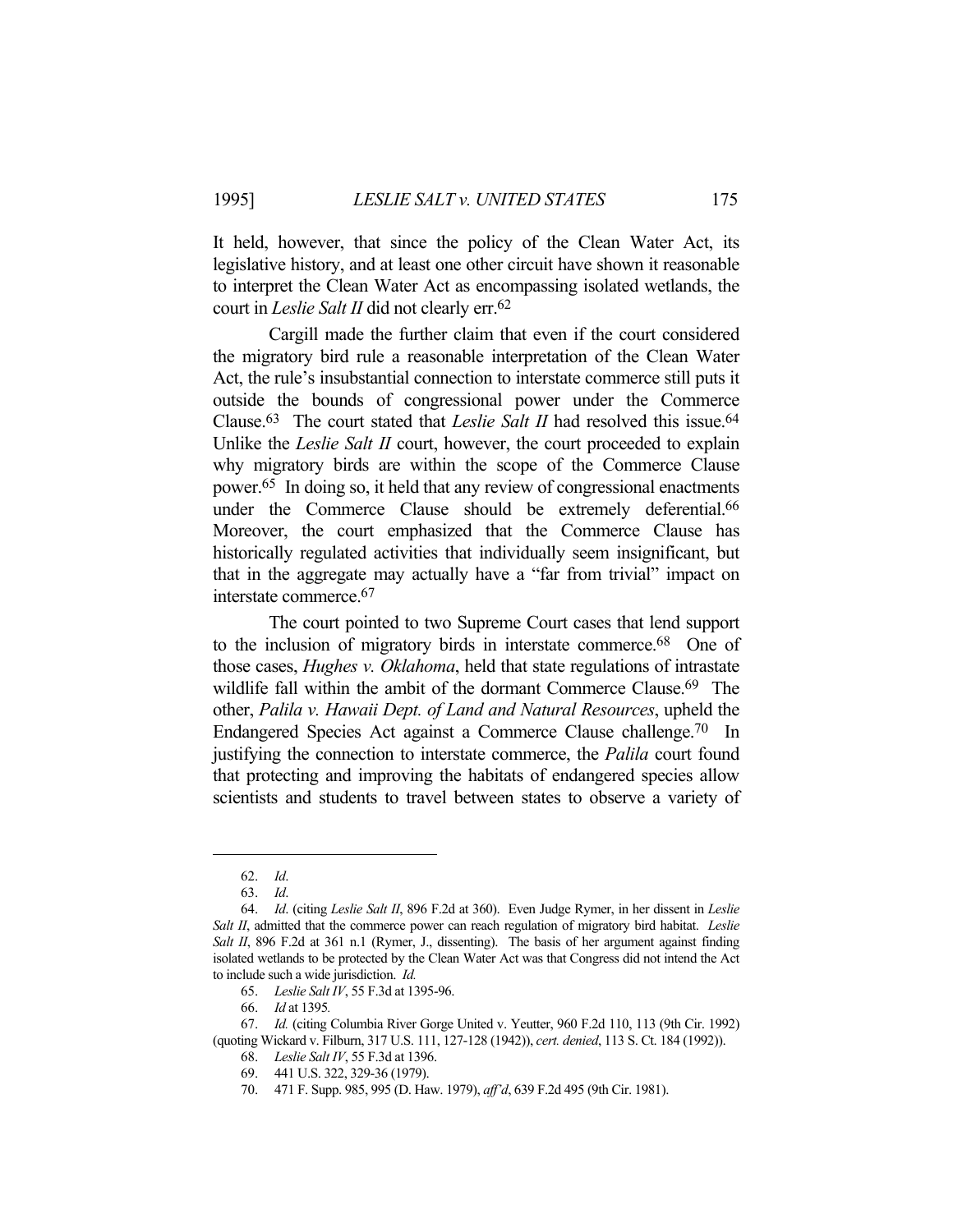It held, however, that since the policy of the Clean Water Act, its legislative history, and at least one other circuit have shown it reasonable to interpret the Clean Water Act as encompassing isolated wetlands, the court in *Leslie Salt II* did not clearly err.62

 Cargill made the further claim that even if the court considered the migratory bird rule a reasonable interpretation of the Clean Water Act, the rule's insubstantial connection to interstate commerce still puts it outside the bounds of congressional power under the Commerce Clause.<sup>63</sup> The court stated that *Leslie Salt II* had resolved this issue.<sup>64</sup> Unlike the *Leslie Salt II* court, however, the court proceeded to explain why migratory birds are within the scope of the Commerce Clause power.65 In doing so, it held that any review of congressional enactments under the Commerce Clause should be extremely deferential.<sup>66</sup> Moreover, the court emphasized that the Commerce Clause has historically regulated activities that individually seem insignificant, but that in the aggregate may actually have a "far from trivial" impact on interstate commerce.67

 The court pointed to two Supreme Court cases that lend support to the inclusion of migratory birds in interstate commerce.68 One of those cases, *Hughes v. Oklahoma*, held that state regulations of intrastate wildlife fall within the ambit of the dormant Commerce Clause.<sup>69</sup> The other, *Palila v. Hawaii Dept. of Land and Natural Resources*, upheld the Endangered Species Act against a Commerce Clause challenge.70 In justifying the connection to interstate commerce, the *Palila* court found that protecting and improving the habitats of endangered species allow scientists and students to travel between states to observe a variety of

 <sup>62.</sup> *Id*.

 <sup>63.</sup> *Id*.

 <sup>64.</sup> *Id*. (citing *Leslie Salt II*, 896 F.2d at 360). Even Judge Rymer, in her dissent in *Leslie Salt II*, admitted that the commerce power can reach regulation of migratory bird habitat. *Leslie Salt II*, 896 F.2d at 361 n.1 (Rymer, J., dissenting). The basis of her argument against finding isolated wetlands to be protected by the Clean Water Act was that Congress did not intend the Act to include such a wide jurisdiction. *Id.*

 <sup>65.</sup> *Leslie Salt IV*, 55 F.3d at 1395-96.

 <sup>66.</sup> *Id* at 1395*.*

 <sup>67.</sup> *Id.* (citing Columbia River Gorge United v. Yeutter, 960 F.2d 110, 113 (9th Cir. 1992) (quoting Wickard v. Filburn, 317 U.S. 111, 127-128 (1942)), *cert. denied*, 113 S. Ct. 184 (1992)).

 <sup>68.</sup> *Leslie Salt IV*, 55 F.3d at 1396.

 <sup>69. 441</sup> U.S. 322, 329-36 (1979).

 <sup>70. 471</sup> F. Supp. 985, 995 (D. Haw. 1979), *aff'd*, 639 F.2d 495 (9th Cir. 1981).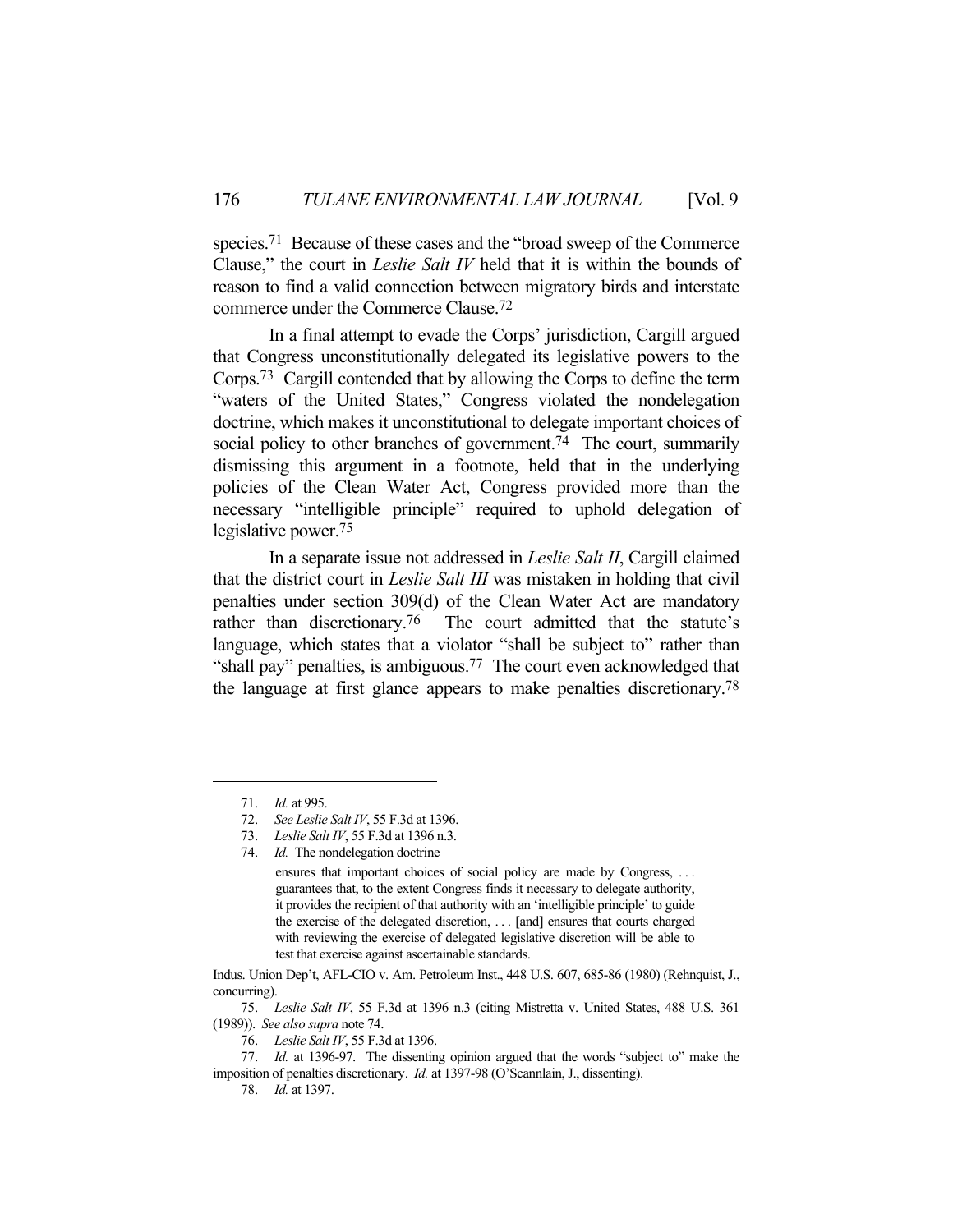species.71 Because of these cases and the "broad sweep of the Commerce Clause," the court in *Leslie Salt IV* held that it is within the bounds of reason to find a valid connection between migratory birds and interstate commerce under the Commerce Clause.72

 In a final attempt to evade the Corps' jurisdiction, Cargill argued that Congress unconstitutionally delegated its legislative powers to the Corps.73 Cargill contended that by allowing the Corps to define the term "waters of the United States," Congress violated the nondelegation doctrine, which makes it unconstitutional to delegate important choices of social policy to other branches of government.<sup>74</sup> The court, summarily dismissing this argument in a footnote, held that in the underlying policies of the Clean Water Act, Congress provided more than the necessary "intelligible principle" required to uphold delegation of legislative power.75

 In a separate issue not addressed in *Leslie Salt II*, Cargill claimed that the district court in *Leslie Salt III* was mistaken in holding that civil penalties under section 309(d) of the Clean Water Act are mandatory rather than discretionary.<sup>76</sup> The court admitted that the statute's language, which states that a violator "shall be subject to" rather than "shall pay" penalties, is ambiguous.<sup>77</sup> The court even acknowledged that the language at first glance appears to make penalties discretionary.78

 75. *Leslie Salt IV*, 55 F.3d at 1396 n.3 (citing Mistretta v. United States, 488 U.S. 361 (1989)). *See also supra* note 74.

 <sup>71.</sup> *Id.* at 995.

 <sup>72.</sup> *See Leslie Salt IV*, 55 F.3d at 1396.

 <sup>73.</sup> *Leslie Salt IV*, 55 F.3d at 1396 n.3.

 <sup>74.</sup> *Id.* The nondelegation doctrine

ensures that important choices of social policy are made by Congress, . . . guarantees that, to the extent Congress finds it necessary to delegate authority, it provides the recipient of that authority with an 'intelligible principle' to guide the exercise of the delegated discretion, . . . [and] ensures that courts charged with reviewing the exercise of delegated legislative discretion will be able to test that exercise against ascertainable standards.

Indus. Union Dep't, AFL-CIO v. Am. Petroleum Inst., 448 U.S. 607, 685-86 (1980) (Rehnquist, J., concurring).

 <sup>76.</sup> *Leslie Salt IV*, 55 F.3d at 1396.

 <sup>77.</sup> *Id.* at 1396-97. The dissenting opinion argued that the words "subject to" make the imposition of penalties discretionary. *Id.* at 1397-98 (O'Scannlain, J., dissenting).

 <sup>78.</sup> *Id.* at 1397.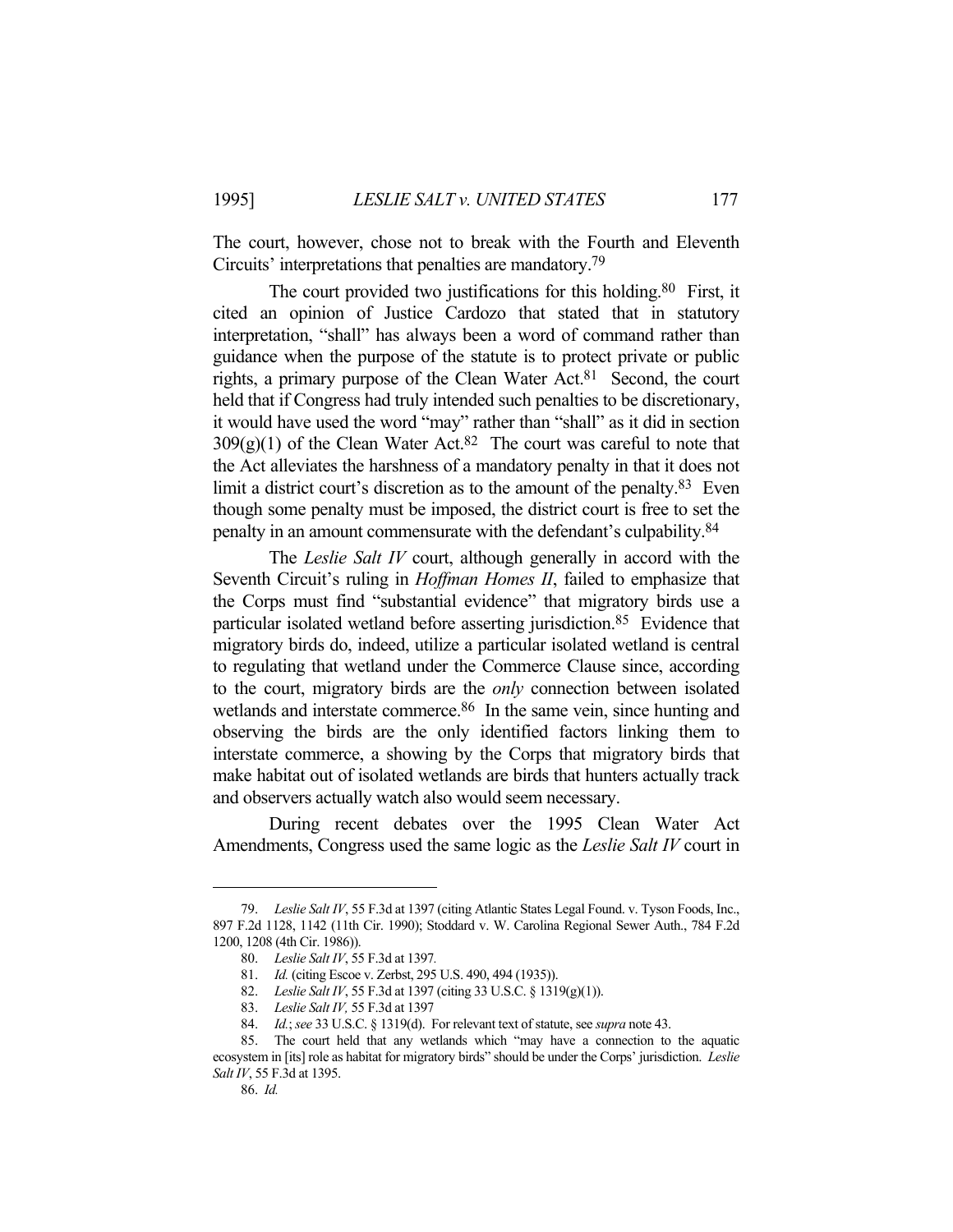The court, however, chose not to break with the Fourth and Eleventh Circuits' interpretations that penalties are mandatory.79

The court provided two justifications for this holding.<sup>80</sup> First, it cited an opinion of Justice Cardozo that stated that in statutory interpretation, "shall" has always been a word of command rather than guidance when the purpose of the statute is to protect private or public rights, a primary purpose of the Clean Water Act.81 Second, the court held that if Congress had truly intended such penalties to be discretionary, it would have used the word "may" rather than "shall" as it did in section  $309(g)(1)$  of the Clean Water Act.<sup>82</sup> The court was careful to note that the Act alleviates the harshness of a mandatory penalty in that it does not limit a district court's discretion as to the amount of the penalty.<sup>83</sup> Even though some penalty must be imposed, the district court is free to set the penalty in an amount commensurate with the defendant's culpability.84

 The *Leslie Salt IV* court, although generally in accord with the Seventh Circuit's ruling in *Hoffman Homes II*, failed to emphasize that the Corps must find "substantial evidence" that migratory birds use a particular isolated wetland before asserting jurisdiction.85 Evidence that migratory birds do, indeed, utilize a particular isolated wetland is central to regulating that wetland under the Commerce Clause since, according to the court, migratory birds are the *only* connection between isolated wetlands and interstate commerce.<sup>86</sup> In the same vein, since hunting and observing the birds are the only identified factors linking them to interstate commerce, a showing by the Corps that migratory birds that make habitat out of isolated wetlands are birds that hunters actually track and observers actually watch also would seem necessary.

 During recent debates over the 1995 Clean Water Act Amendments, Congress used the same logic as the *Leslie Salt IV* court in

## 86. *Id.*

 <sup>79.</sup> *Leslie Salt IV*, 55 F.3d at 1397 (citing Atlantic States Legal Found. v. Tyson Foods, Inc., 897 F.2d 1128, 1142 (11th Cir. 1990); Stoddard v. W. Carolina Regional Sewer Auth., 784 F.2d 1200, 1208 (4th Cir. 1986)).

 <sup>80.</sup> *Leslie Salt IV*, 55 F.3d at 1397*.*

 <sup>81.</sup> *Id.* (citing Escoe v. Zerbst, 295 U.S. 490, 494 (1935)).

 <sup>82.</sup> *Leslie Salt IV*, 55 F.3d at 1397 (citing 33 U.S.C. § 1319(g)(1)).

 <sup>83.</sup> *Leslie Salt IV,* 55 F.3d at 1397

 <sup>84.</sup> *Id.*; *see* 33 U.S.C. § 1319(d). For relevant text of statute, see *supra* note 43.

 <sup>85.</sup> The court held that any wetlands which "may have a connection to the aquatic ecosystem in [its] role as habitat for migratory birds" should be under the Corps' jurisdiction. *Leslie Salt IV*, 55 F.3d at 1395.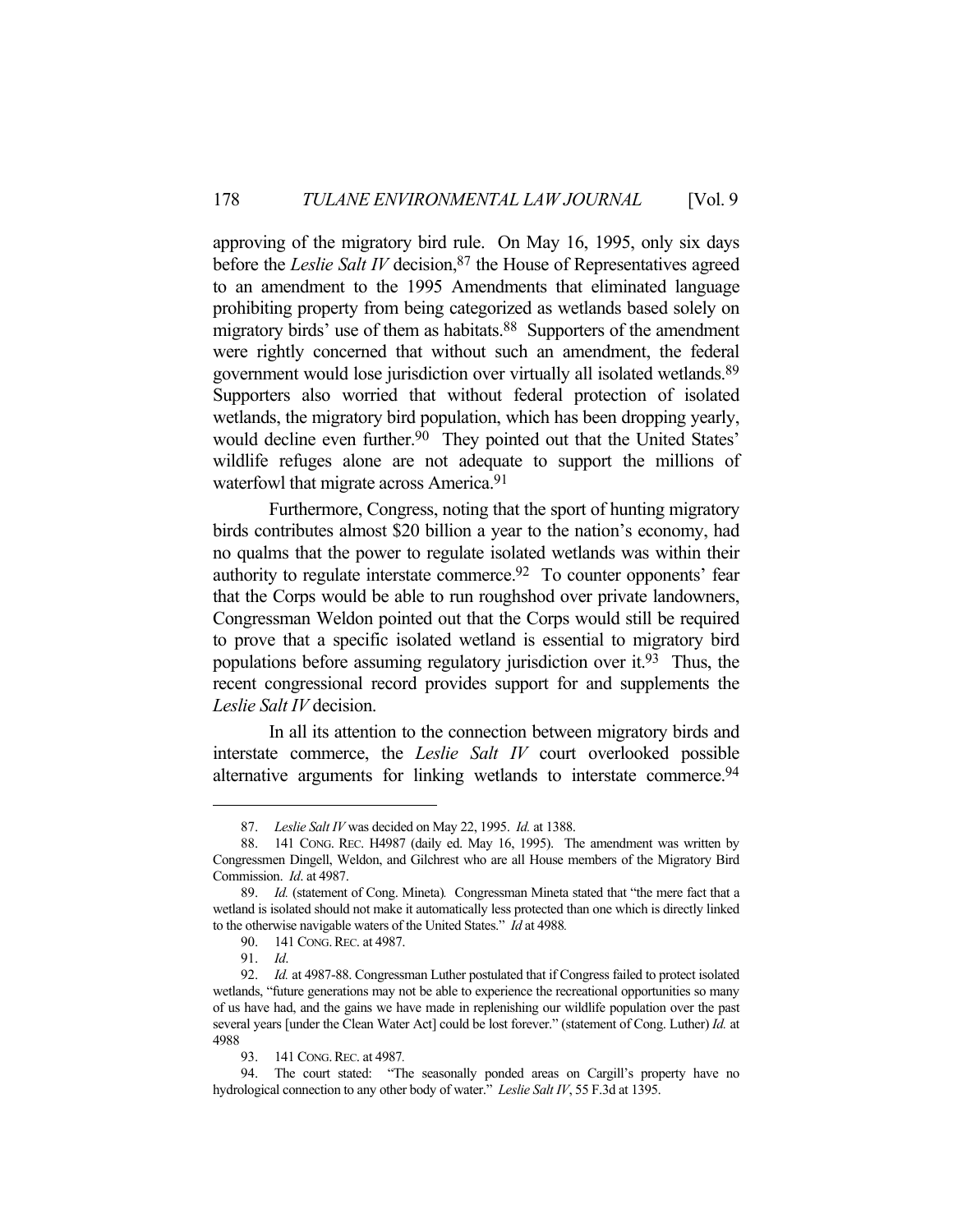approving of the migratory bird rule. On May 16, 1995, only six days before the *Leslie Salt IV* decision, <sup>87</sup> the House of Representatives agreed to an amendment to the 1995 Amendments that eliminated language prohibiting property from being categorized as wetlands based solely on migratory birds' use of them as habitats.<sup>88</sup> Supporters of the amendment were rightly concerned that without such an amendment, the federal government would lose jurisdiction over virtually all isolated wetlands.89 Supporters also worried that without federal protection of isolated wetlands, the migratory bird population, which has been dropping yearly, would decline even further.<sup>90</sup> They pointed out that the United States' wildlife refuges alone are not adequate to support the millions of waterfowl that migrate across America.<sup>91</sup>

 Furthermore, Congress, noting that the sport of hunting migratory birds contributes almost \$20 billion a year to the nation's economy, had no qualms that the power to regulate isolated wetlands was within their authority to regulate interstate commerce.92 To counter opponents' fear that the Corps would be able to run roughshod over private landowners, Congressman Weldon pointed out that the Corps would still be required to prove that a specific isolated wetland is essential to migratory bird populations before assuming regulatory jurisdiction over it.93 Thus, the recent congressional record provides support for and supplements the *Leslie Salt IV* decision.

 In all its attention to the connection between migratory birds and interstate commerce, the *Leslie Salt IV* court overlooked possible alternative arguments for linking wetlands to interstate commerce.<sup>94</sup>

93. 141 CONG.REC. at 4987*.*

 <sup>87.</sup> *Leslie Salt IV* was decided on May 22, 1995. *Id.* at 1388.

 <sup>88. 141</sup> CONG. REC. H4987 (daily ed. May 16, 1995). The amendment was written by Congressmen Dingell, Weldon, and Gilchrest who are all House members of the Migratory Bird Commission. *Id*. at 4987.

 <sup>89.</sup> *Id.* (statement of Cong. Mineta)*.* Congressman Mineta stated that "the mere fact that a wetland is isolated should not make it automatically less protected than one which is directly linked to the otherwise navigable waters of the United States." *Id* at 4988*.*

 <sup>90. 141</sup> CONG.REC. at 4987.

 <sup>91.</sup> *Id*.

 <sup>92.</sup> *Id.* at 4987-88. Congressman Luther postulated that if Congress failed to protect isolated wetlands, "future generations may not be able to experience the recreational opportunities so many of us have had, and the gains we have made in replenishing our wildlife population over the past several years [under the Clean Water Act] could be lost forever." (statement of Cong. Luther) *Id.* at 4988

 <sup>94.</sup> The court stated: "The seasonally ponded areas on Cargill's property have no hydrological connection to any other body of water." *Leslie Salt IV*, 55 F.3d at 1395.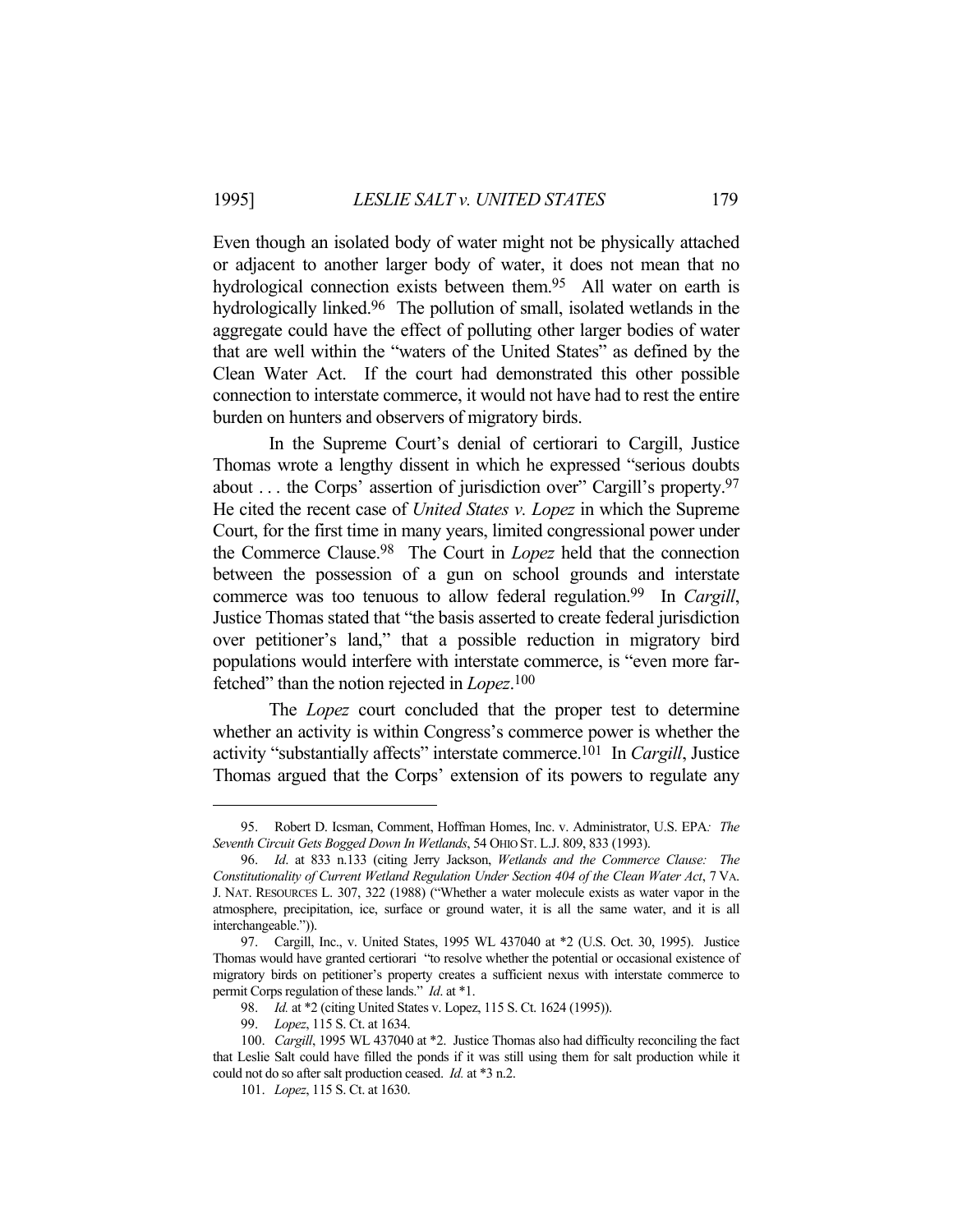Even though an isolated body of water might not be physically attached or adjacent to another larger body of water, it does not mean that no hydrological connection exists between them.<sup>95</sup> All water on earth is hydrologically linked.<sup>96</sup> The pollution of small, isolated wetlands in the aggregate could have the effect of polluting other larger bodies of water that are well within the "waters of the United States" as defined by the Clean Water Act. If the court had demonstrated this other possible connection to interstate commerce, it would not have had to rest the entire burden on hunters and observers of migratory birds.

 In the Supreme Court's denial of certiorari to Cargill, Justice Thomas wrote a lengthy dissent in which he expressed "serious doubts about . . . the Corps' assertion of jurisdiction over" Cargill's property.97 He cited the recent case of *United States v. Lopez* in which the Supreme Court, for the first time in many years, limited congressional power under the Commerce Clause.98 The Court in *Lopez* held that the connection between the possession of a gun on school grounds and interstate commerce was too tenuous to allow federal regulation.99 In *Cargill*, Justice Thomas stated that "the basis asserted to create federal jurisdiction over petitioner's land," that a possible reduction in migratory bird populations would interfere with interstate commerce, is "even more farfetched" than the notion rejected in *Lopez*. 100

 The *Lopez* court concluded that the proper test to determine whether an activity is within Congress's commerce power is whether the activity "substantially affects" interstate commerce.101 In *Cargill*, Justice Thomas argued that the Corps' extension of its powers to regulate any

 <sup>95.</sup> Robert D. Icsman, Comment, Hoffman Homes, Inc. v. Administrator, U.S. EPA*: The Seventh Circuit Gets Bogged Down In Wetlands*, 54 OHIO ST. L.J. 809, 833 (1993).

 <sup>96.</sup> *Id*. at 833 n.133 (citing Jerry Jackson, *Wetlands and the Commerce Clause: The Constitutionality of Current Wetland Regulation Under Section 404 of the Clean Water Act*, 7 VA. J. NAT. RESOURCES L. 307, 322 (1988) ("Whether a water molecule exists as water vapor in the atmosphere, precipitation, ice, surface or ground water, it is all the same water, and it is all interchangeable.")).

 <sup>97.</sup> Cargill, Inc., v. United States, 1995 WL 437040 at \*2 (U.S. Oct. 30, 1995). Justice Thomas would have granted certiorari "to resolve whether the potential or occasional existence of migratory birds on petitioner's property creates a sufficient nexus with interstate commerce to permit Corps regulation of these lands." *Id*. at \*1.

 <sup>98.</sup> *Id.* at \*2 (citing United States v. Lopez, 115 S. Ct. 1624 (1995)).

 <sup>99.</sup> *Lopez*, 115 S. Ct. at 1634.

 <sup>100.</sup> *Cargill*, 1995 WL 437040 at \*2. Justice Thomas also had difficulty reconciling the fact that Leslie Salt could have filled the ponds if it was still using them for salt production while it could not do so after salt production ceased. *Id.* at \*3 n.2.

 <sup>101.</sup> *Lopez*, 115 S. Ct. at 1630.